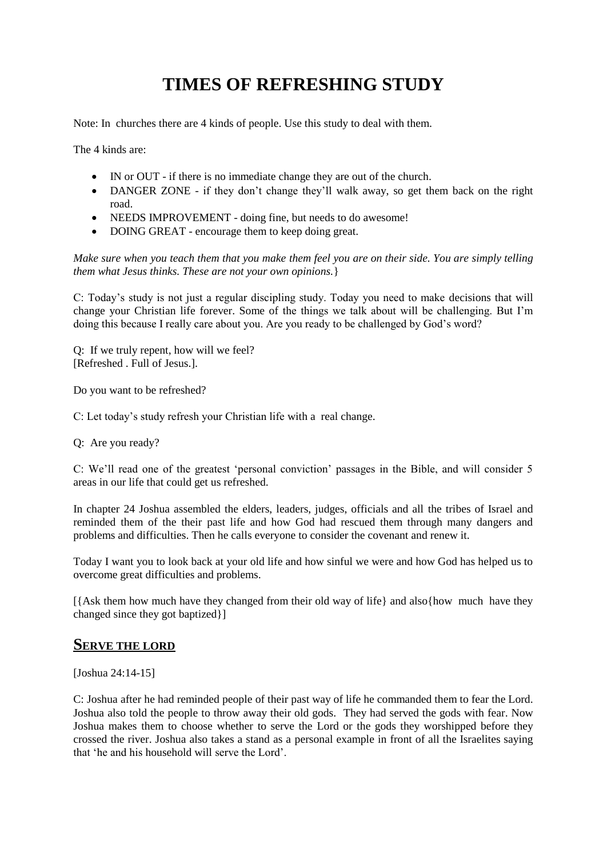# **TIMES OF REFRESHING STUDY**

Note: In churches there are 4 kinds of people. Use this study to deal with them.

The 4 kinds are:

- IN or OUT if there is no immediate change they are out of the church.
- DANGER ZONE if they don't change they'll walk away, so get them back on the right road.
- NEEDS IMPROVEMENT doing fine, but needs to do awesome!
- DOING GREAT encourage them to keep doing great.

*Make sure when you teach them that you make them feel you are on their side. You are simply telling them what Jesus thinks. These are not your own opinions.*}

C: Today's study is not just a regular discipling study. Today you need to make decisions that will change your Christian life forever. Some of the things we talk about will be challenging. But I'm doing this because I really care about you. Are you ready to be challenged by God's word?

Q: If we truly repent, how will we feel? [Refreshed . Full of Jesus.].

Do you want to be refreshed?

C: Let today's study refresh your Christian life with a real change.

Q: Are you ready?

C: We'll read one of the greatest 'personal conviction' passages in the Bible, and will consider 5 areas in our life that could get us refreshed.

In chapter 24 Joshua assembled the elders, leaders, judges, officials and all the tribes of Israel and reminded them of the their past life and how God had rescued them through many dangers and problems and difficulties. Then he calls everyone to consider the covenant and renew it.

Today I want you to look back at your old life and how sinful we were and how God has helped us to overcome great difficulties and problems.

[{Ask them how much have they changed from their old way of life} and also{how much have they changed since they got baptized}]

## **SERVE THE LORD**

[Joshua 24:14-15]

C: Joshua after he had reminded people of their past way of life he commanded them to fear the Lord. Joshua also told the people to throw away their old gods. They had served the gods with fear. Now Joshua makes them to choose whether to serve the Lord or the gods they worshipped before they crossed the river. Joshua also takes a stand as a personal example in front of all the Israelites saying that 'he and his household will serve the Lord'.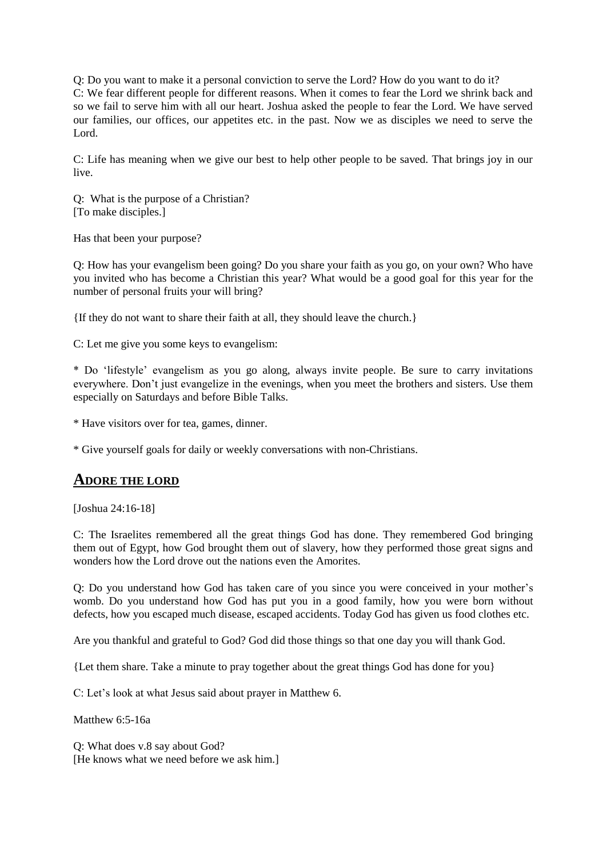Q: Do you want to make it a personal conviction to serve the Lord? How do you want to do it? C: We fear different people for different reasons. When it comes to fear the Lord we shrink back and so we fail to serve him with all our heart. Joshua asked the people to fear the Lord. We have served our families, our offices, our appetites etc. in the past. Now we as disciples we need to serve the Lord.

C: Life has meaning when we give our best to help other people to be saved. That brings joy in our live.

Q: What is the purpose of a Christian? [To make disciples.]

Has that been your purpose?

Q: How has your evangelism been going? Do you share your faith as you go, on your own? Who have you invited who has become a Christian this year? What would be a good goal for this year for the number of personal fruits your will bring?

{If they do not want to share their faith at all, they should leave the church.}

C: Let me give you some keys to evangelism:

\* Do 'lifestyle' evangelism as you go along, always invite people. Be sure to carry invitations everywhere. Don't just evangelize in the evenings, when you meet the brothers and sisters. Use them especially on Saturdays and before Bible Talks.

\* Have visitors over for tea, games, dinner.

\* Give yourself goals for daily or weekly conversations with non-Christians.

#### **ADORE THE LORD**

[Joshua 24:16-18]

C: The Israelites remembered all the great things God has done. They remembered God bringing them out of Egypt, how God brought them out of slavery, how they performed those great signs and wonders how the Lord drove out the nations even the Amorites.

Q: Do you understand how God has taken care of you since you were conceived in your mother's womb. Do you understand how God has put you in a good family, how you were born without defects, how you escaped much disease, escaped accidents. Today God has given us food clothes etc.

Are you thankful and grateful to God? God did those things so that one day you will thank God.

{Let them share. Take a minute to pray together about the great things God has done for you}

C: Let's look at what Jesus said about prayer in Matthew 6.

Matthew 6:5-16a

Q: What does v.8 say about God? [He knows what we need before we ask him.]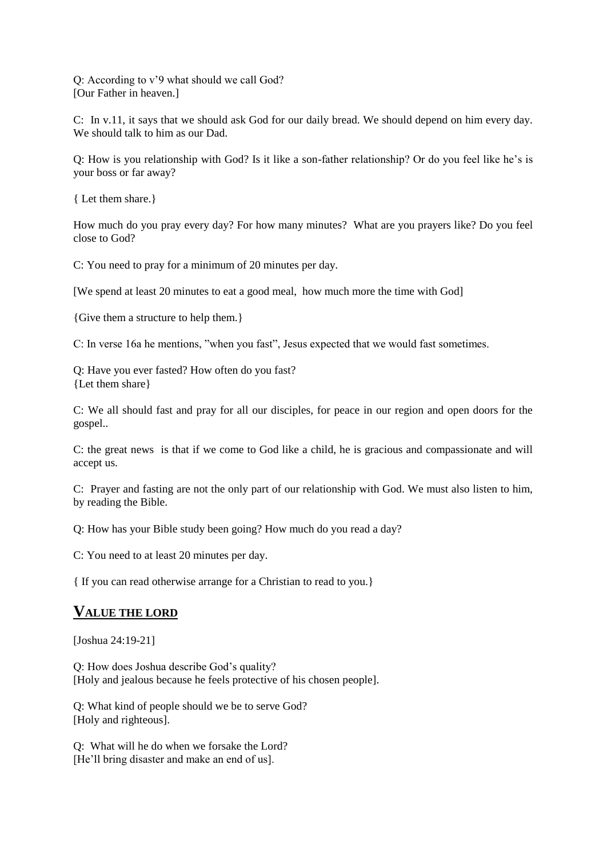Q: According to v'9 what should we call God? [Our Father in heaven.]

C: In v.11, it says that we should ask God for our daily bread. We should depend on him every day. We should talk to him as our Dad.

Q: How is you relationship with God? Is it like a son-father relationship? Or do you feel like he's is your boss or far away?

{ Let them share.}

How much do you pray every day? For how many minutes? What are you prayers like? Do you feel close to God?

C: You need to pray for a minimum of 20 minutes per day.

[We spend at least 20 minutes to eat a good meal, how much more the time with God]

{Give them a structure to help them.}

C: In verse 16a he mentions, "when you fast", Jesus expected that we would fast sometimes.

Q: Have you ever fasted? How often do you fast? {Let them share}

C: We all should fast and pray for all our disciples, for peace in our region and open doors for the gospel..

C: the great news is that if we come to God like a child, he is gracious and compassionate and will accept us.

C: Prayer and fasting are not the only part of our relationship with God. We must also listen to him, by reading the Bible.

Q: How has your Bible study been going? How much do you read a day?

C: You need to at least 20 minutes per day.

{ If you can read otherwise arrange for a Christian to read to you.}

#### **VALUE THE LORD**

[Joshua 24:19-21]

Q: How does Joshua describe God's quality? [Holy and jealous because he feels protective of his chosen people].

Q: What kind of people should we be to serve God? [Holy and righteous].

Q: What will he do when we forsake the Lord? [He'll bring disaster and make an end of us].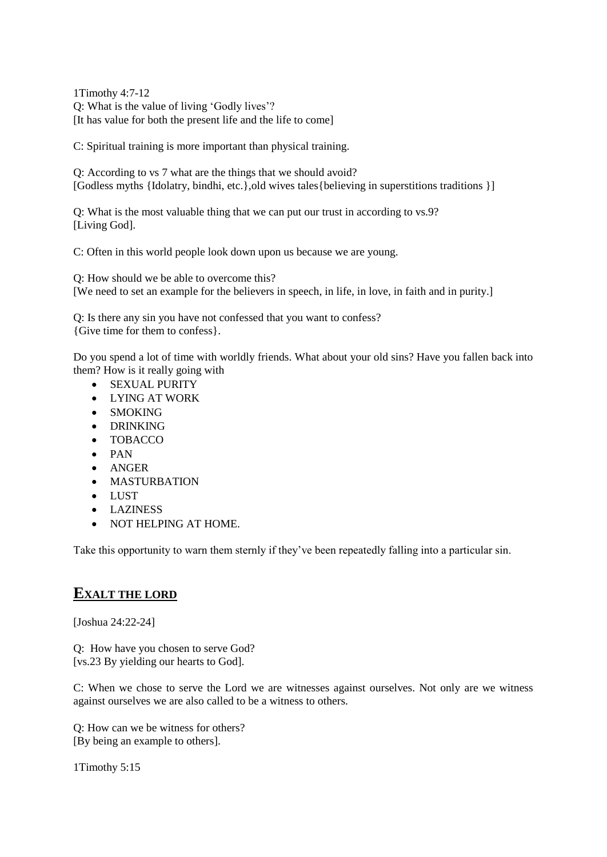1Timothy 4:7-12 Q: What is the value of living 'Godly lives'? [It has value for both the present life and the life to come]

C: Spiritual training is more important than physical training.

Q: According to vs 7 what are the things that we should avoid? [Godless myths {Idolatry, bindhi, etc.},old wives tales{believing in superstitions traditions }]

Q: What is the most valuable thing that we can put our trust in according to vs.9? [Living God].

C: Often in this world people look down upon us because we are young.

Q: How should we be able to overcome this? [We need to set an example for the believers in speech, in life, in love, in faith and in purity.]

Q: Is there any sin you have not confessed that you want to confess? {Give time for them to confess}.

Do you spend a lot of time with worldly friends. What about your old sins? Have you fallen back into them? How is it really going with

- SEXUAL PURITY
- LYING AT WORK
- SMOKING
- DRINKING
- TOBACCO
- PAN
- ANGER
- MASTURBATION
- LUST
- LAZINESS
- NOT HELPING AT HOME.

Take this opportunity to warn them sternly if they've been repeatedly falling into a particular sin.

## **EXALT THE LORD**

[Joshua 24:22-24]

Q: How have you chosen to serve God? [vs.23 By yielding our hearts to God].

C: When we chose to serve the Lord we are witnesses against ourselves. Not only are we witness against ourselves we are also called to be a witness to others.

Q: How can we be witness for others? [By being an example to others].

1Timothy 5:15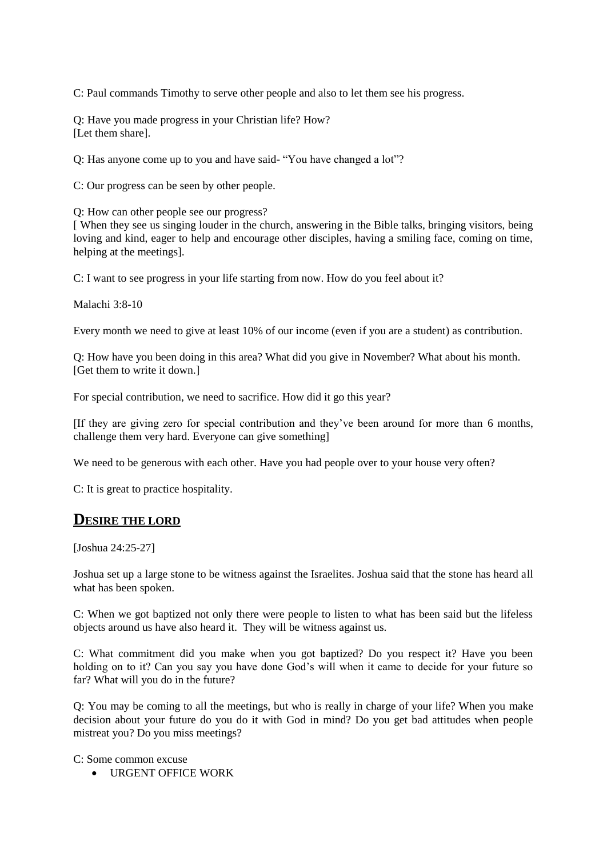C: Paul commands Timothy to serve other people and also to let them see his progress.

Q: Have you made progress in your Christian life? How? [Let them share].

Q: Has anyone come up to you and have said- "You have changed a lot"?

C: Our progress can be seen by other people.

Q: How can other people see our progress?

[ When they see us singing louder in the church, answering in the Bible talks, bringing visitors, being loving and kind, eager to help and encourage other disciples, having a smiling face, coming on time, helping at the meetings].

C: I want to see progress in your life starting from now. How do you feel about it?

Malachi 3:8-10

Every month we need to give at least 10% of our income (even if you are a student) as contribution.

Q: How have you been doing in this area? What did you give in November? What about his month. [Get them to write it down.]

For special contribution, we need to sacrifice. How did it go this year?

[If they are giving zero for special contribution and they've been around for more than 6 months, challenge them very hard. Everyone can give something]

We need to be generous with each other. Have you had people over to your house very often?

C: It is great to practice hospitality.

#### **DESIRE THE LORD**

[Joshua 24:25-27]

Joshua set up a large stone to be witness against the Israelites. Joshua said that the stone has heard all what has been spoken.

C: When we got baptized not only there were people to listen to what has been said but the lifeless objects around us have also heard it. They will be witness against us.

C: What commitment did you make when you got baptized? Do you respect it? Have you been holding on to it? Can you say you have done God's will when it came to decide for your future so far? What will you do in the future?

Q: You may be coming to all the meetings, but who is really in charge of your life? When you make decision about your future do you do it with God in mind? Do you get bad attitudes when people mistreat you? Do you miss meetings?

C: Some common excuse

URGENT OFFICE WORK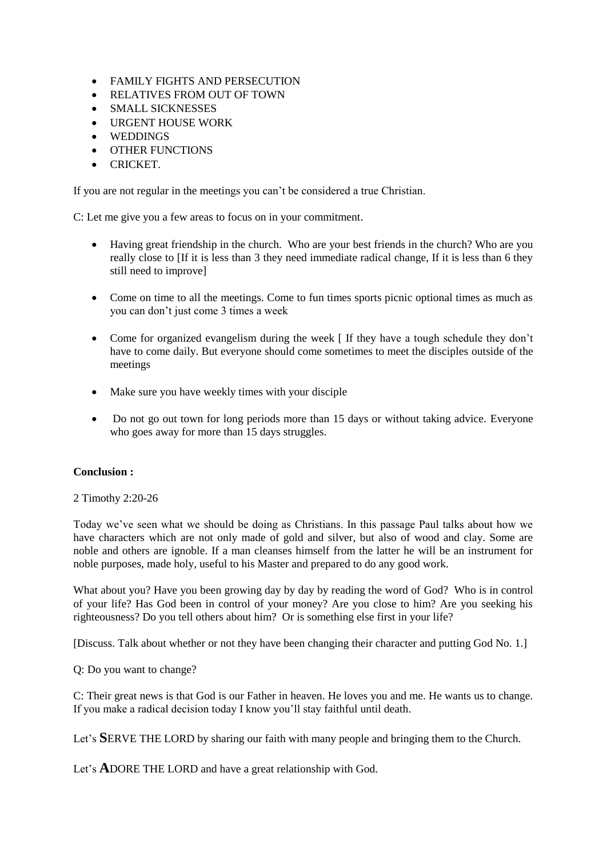- FAMILY FIGHTS AND PERSECUTION
- RELATIVES FROM OUT OF TOWN
- SMALL SICKNESSES
- URGENT HOUSE WORK
- WEDDINGS
- **OTHER FUNCTIONS**
- CRICKET

If you are not regular in the meetings you can't be considered a true Christian.

C: Let me give you a few areas to focus on in your commitment.

- Having great friendship in the church. Who are your best friends in the church? Who are you really close to [If it is less than 3 they need immediate radical change, If it is less than 6 they still need to improve]
- Come on time to all the meetings. Come to fun times sports picnic optional times as much as you can don't just come 3 times a week
- Come for organized evangelism during the week [ If they have a tough schedule they don't have to come daily. But everyone should come sometimes to meet the disciples outside of the meetings
- Make sure you have weekly times with your disciple
- Do not go out town for long periods more than 15 days or without taking advice. Everyone who goes away for more than 15 days struggles.

#### **Conclusion :**

2 Timothy 2:20-26

Today we've seen what we should be doing as Christians. In this passage Paul talks about how we have characters which are not only made of gold and silver, but also of wood and clay. Some are noble and others are ignoble. If a man cleanses himself from the latter he will be an instrument for noble purposes, made holy, useful to his Master and prepared to do any good work.

What about you? Have you been growing day by day by reading the word of God? Who is in control of your life? Has God been in control of your money? Are you close to him? Are you seeking his righteousness? Do you tell others about him? Or is something else first in your life?

[Discuss. Talk about whether or not they have been changing their character and putting God No. 1.]

Q: Do you want to change?

C: Their great news is that God is our Father in heaven. He loves you and me. He wants us to change. If you make a radical decision today I know you'll stay faithful until death.

Let's **S**ERVE THE LORD by sharing our faith with many people and bringing them to the Church.

Let's **A**DORE THE LORD and have a great relationship with God.